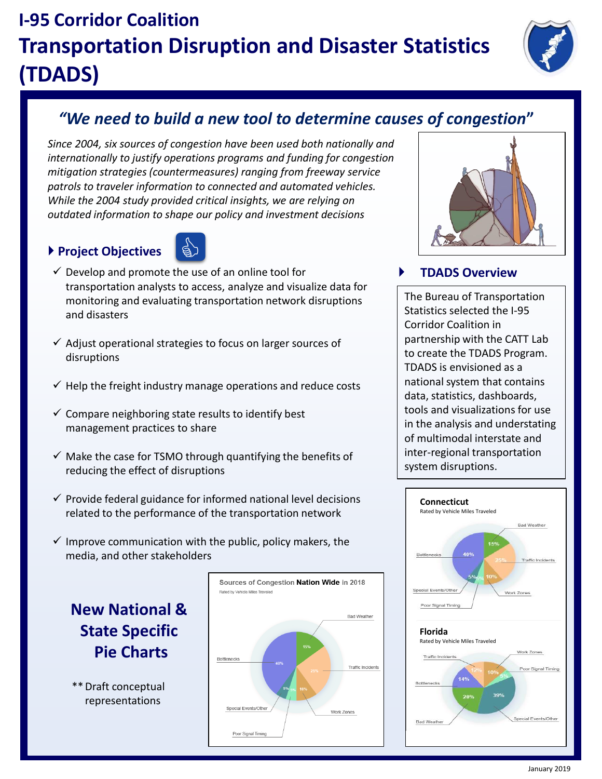# **I-95 Corridor Coalition Transportation Disruption and Disaster Statistics (TDADS)**



## *"We need to build a new tool to determine causes of congestion***"**

*Since 2004, six sources of congestion have been used both nationally and internationally to justify operations programs and funding for congestion mitigation strategies (countermeasures) ranging from freeway service patrols to traveler information to connected and automated vehicles. While the 2004 study provided critical insights, we are relying on outdated information to shape our policy and investment decisions*

### **Project Objectives**



- $\checkmark$  Develop and promote the use of an online tool for transportation analysts to access, analyze and visualize data for monitoring and evaluating transportation network disruptions and disasters
- $\checkmark$  Adjust operational strategies to focus on larger sources of disruptions
- $\checkmark$  Help the freight industry manage operations and reduce costs
- $\checkmark$  Compare neighboring state results to identify best management practices to share
- $\checkmark$  Make the case for TSMO through quantifying the benefits of reducing the effect of disruptions
- $\checkmark$  Provide federal guidance for informed national level decisions related to the performance of the transportation network
- $\checkmark$  Improve communication with the public, policy makers, the media, and other stakeholders

**New National & State Specific Pie Charts**

\*\*Draft conceptual representations





### **TDADS Overview**

The Bureau of Transportation Statistics selected the I-95 Corridor Coalition in partnership with the CATT Lab to create the TDADS Program. TDADS is envisioned as a national system that contains data, statistics, dashboards, tools and visualizations for use in the analysis and understating of multimodal interstate and inter-regional transportation system disruptions.